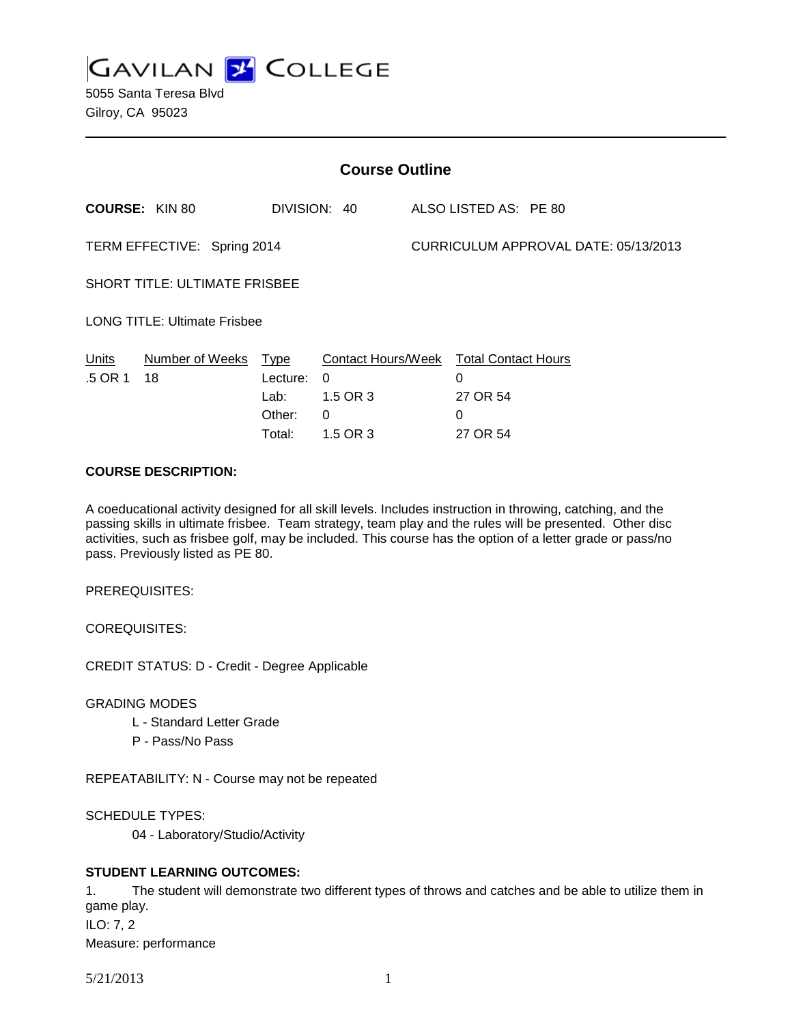**GAVILAN 2 COLLEGE** 

5055 Santa Teresa Blvd Gilroy, CA 95023

| <b>Course Outline</b>                |                       |                                                     |                                                                    |                                      |                                                              |  |  |
|--------------------------------------|-----------------------|-----------------------------------------------------|--------------------------------------------------------------------|--------------------------------------|--------------------------------------------------------------|--|--|
|                                      | <b>COURSE: KIN 80</b> |                                                     | DIVISION: 40                                                       |                                      | ALSO LISTED AS: PE 80                                        |  |  |
| TERM EFFECTIVE: Spring 2014          |                       |                                                     |                                                                    | CURRICULUM APPROVAL DATE: 05/13/2013 |                                                              |  |  |
| <b>SHORT TITLE: ULTIMATE FRISBEE</b> |                       |                                                     |                                                                    |                                      |                                                              |  |  |
| <b>LONG TITLE: Ultimate Frisbee</b>  |                       |                                                     |                                                                    |                                      |                                                              |  |  |
| Units<br>.5 OR 1                     | Number of Weeks<br>18 | <b>Type</b><br>Lecture:<br>Lab:<br>Other:<br>Total: | <b>Contact Hours/Week</b><br>0<br>1.5 OR 3<br>$\Omega$<br>1.5 OR 3 |                                      | <b>Total Contact Hours</b><br>0<br>27 OR 54<br>0<br>27 OR 54 |  |  |

### **COURSE DESCRIPTION:**

A coeducational activity designed for all skill levels. Includes instruction in throwing, catching, and the passing skills in ultimate frisbee. Team strategy, team play and the rules will be presented. Other disc activities, such as frisbee golf, may be included. This course has the option of a letter grade or pass/no pass. Previously listed as PE 80.

PREREQUISITES:

COREQUISITES:

CREDIT STATUS: D - Credit - Degree Applicable

GRADING MODES

- L Standard Letter Grade
- P Pass/No Pass

REPEATABILITY: N - Course may not be repeated

SCHEDULE TYPES:

04 - Laboratory/Studio/Activity

# **STUDENT LEARNING OUTCOMES:**

1. The student will demonstrate two different types of throws and catches and be able to utilize them in game play. ILO: 7, 2

Measure: performance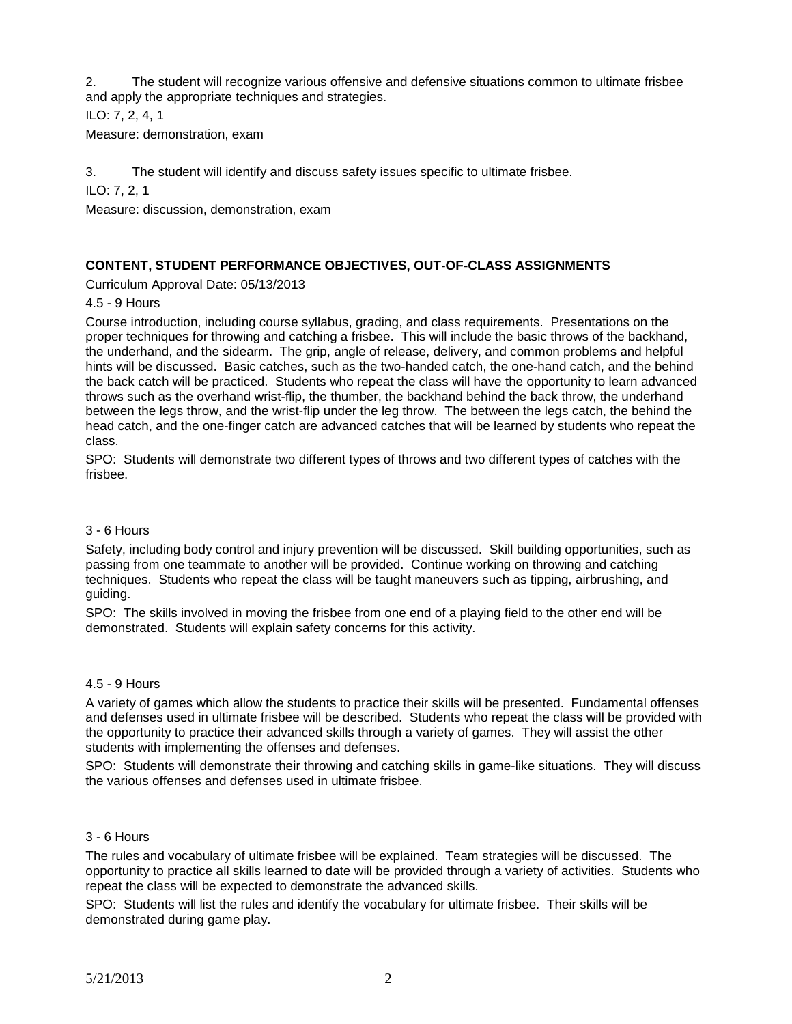2. The student will recognize various offensive and defensive situations common to ultimate frisbee and apply the appropriate techniques and strategies.

ILO: 7, 2, 4, 1

Measure: demonstration, exam

3. The student will identify and discuss safety issues specific to ultimate frisbee.

ILO: 7, 2, 1

Measure: discussion, demonstration, exam

# **CONTENT, STUDENT PERFORMANCE OBJECTIVES, OUT-OF-CLASS ASSIGNMENTS**

Curriculum Approval Date: 05/13/2013

4.5 - 9 Hours

Course introduction, including course syllabus, grading, and class requirements. Presentations on the proper techniques for throwing and catching a frisbee. This will include the basic throws of the backhand, the underhand, and the sidearm. The grip, angle of release, delivery, and common problems and helpful hints will be discussed. Basic catches, such as the two-handed catch, the one-hand catch, and the behind the back catch will be practiced. Students who repeat the class will have the opportunity to learn advanced throws such as the overhand wrist-flip, the thumber, the backhand behind the back throw, the underhand between the legs throw, and the wrist-flip under the leg throw. The between the legs catch, the behind the head catch, and the one-finger catch are advanced catches that will be learned by students who repeat the class.

SPO: Students will demonstrate two different types of throws and two different types of catches with the frisbee.

#### 3 - 6 Hours

Safety, including body control and injury prevention will be discussed. Skill building opportunities, such as passing from one teammate to another will be provided. Continue working on throwing and catching techniques. Students who repeat the class will be taught maneuvers such as tipping, airbrushing, and guiding.

SPO: The skills involved in moving the frisbee from one end of a playing field to the other end will be demonstrated. Students will explain safety concerns for this activity.

#### 4.5 - 9 Hours

A variety of games which allow the students to practice their skills will be presented. Fundamental offenses and defenses used in ultimate frisbee will be described. Students who repeat the class will be provided with the opportunity to practice their advanced skills through a variety of games. They will assist the other students with implementing the offenses and defenses.

SPO: Students will demonstrate their throwing and catching skills in game-like situations. They will discuss the various offenses and defenses used in ultimate frisbee.

#### 3 - 6 Hours

The rules and vocabulary of ultimate frisbee will be explained. Team strategies will be discussed. The opportunity to practice all skills learned to date will be provided through a variety of activities. Students who repeat the class will be expected to demonstrate the advanced skills.

SPO: Students will list the rules and identify the vocabulary for ultimate frisbee. Their skills will be demonstrated during game play.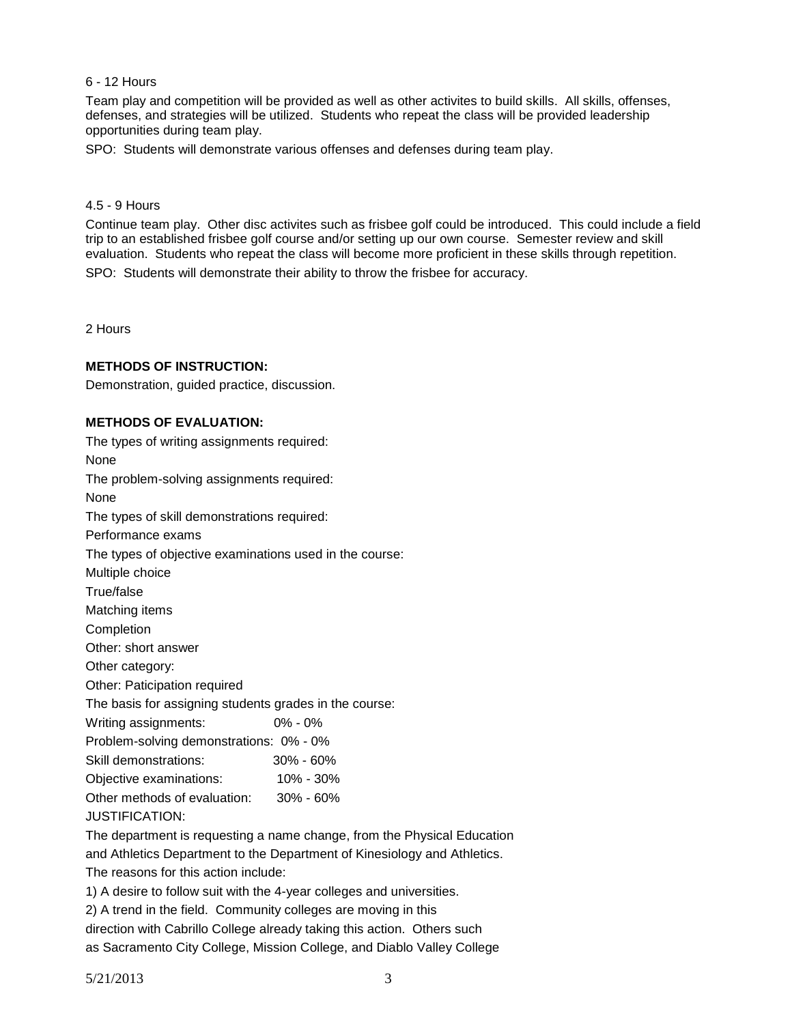### 6 - 12 Hours

Team play and competition will be provided as well as other activites to build skills. All skills, offenses, defenses, and strategies will be utilized. Students who repeat the class will be provided leadership opportunities during team play.

SPO: Students will demonstrate various offenses and defenses during team play.

# 4.5 - 9 Hours

Continue team play. Other disc activites such as frisbee golf could be introduced. This could include a field trip to an established frisbee golf course and/or setting up our own course. Semester review and skill evaluation. Students who repeat the class will become more proficient in these skills through repetition. SPO: Students will demonstrate their ability to throw the frisbee for accuracy.

2 Hours

#### **METHODS OF INSTRUCTION:**

Demonstration, guided practice, discussion.

### **METHODS OF EVALUATION:**

| The types of writing assignments required:                              |               |  |  |  |  |
|-------------------------------------------------------------------------|---------------|--|--|--|--|
| None                                                                    |               |  |  |  |  |
| The problem-solving assignments required:                               |               |  |  |  |  |
| None                                                                    |               |  |  |  |  |
| The types of skill demonstrations required:                             |               |  |  |  |  |
| Performance exams                                                       |               |  |  |  |  |
| The types of objective examinations used in the course:                 |               |  |  |  |  |
| Multiple choice                                                         |               |  |  |  |  |
| True/false                                                              |               |  |  |  |  |
| Matching items                                                          |               |  |  |  |  |
| Completion                                                              |               |  |  |  |  |
| Other: short answer                                                     |               |  |  |  |  |
| Other category:                                                         |               |  |  |  |  |
| Other: Paticipation required                                            |               |  |  |  |  |
| The basis for assigning students grades in the course:                  |               |  |  |  |  |
| Writing assignments:                                                    | $0\% - 0\%$   |  |  |  |  |
| Problem-solving demonstrations: 0% - 0%                                 |               |  |  |  |  |
| Skill demonstrations:                                                   | $30\% - 60\%$ |  |  |  |  |
| Objective examinations: 10% - 30%                                       |               |  |  |  |  |
| Other methods of evaluation: 30% - 60%                                  |               |  |  |  |  |
| <b>JUSTIFICATION:</b>                                                   |               |  |  |  |  |
| The department is requesting a name change, from the Physical Education |               |  |  |  |  |

and Athletics Department to the Department of Kinesiology and Athletics.

The reasons for this action include:

1) A desire to follow suit with the 4-year colleges and universities.

2) A trend in the field. Community colleges are moving in this

direction with Cabrillo College already taking this action. Others such

as Sacramento City College, Mission College, and Diablo Valley College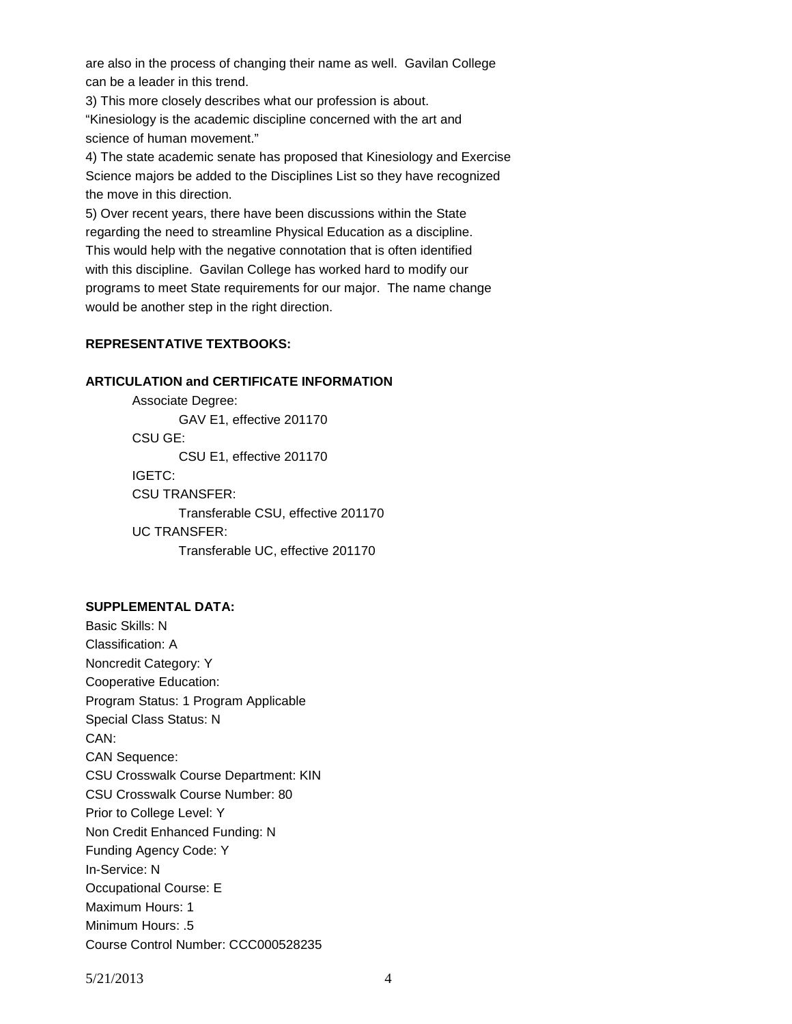are also in the process of changing their name as well. Gavilan College can be a leader in this trend.

3) This more closely describes what our profession is about. "Kinesiology is the academic discipline concerned with the art and science of human movement."

4) The state academic senate has proposed that Kinesiology and Exercise Science majors be added to the Disciplines List so they have recognized the move in this direction.

5) Over recent years, there have been discussions within the State regarding the need to streamline Physical Education as a discipline. This would help with the negative connotation that is often identified with this discipline. Gavilan College has worked hard to modify our programs to meet State requirements for our major. The name change would be another step in the right direction.

# **REPRESENTATIVE TEXTBOOKS:**

### **ARTICULATION and CERTIFICATE INFORMATION**

Associate Degree: GAV E1, effective 201170 CSU GE: CSU E1, effective 201170 IGETC: CSU TRANSFER: Transferable CSU, effective 201170 UC TRANSFER: Transferable UC, effective 201170

# **SUPPLEMENTAL DATA:**

Basic Skills: N Classification: A Noncredit Category: Y Cooperative Education: Program Status: 1 Program Applicable Special Class Status: N CAN: CAN Sequence: CSU Crosswalk Course Department: KIN CSU Crosswalk Course Number: 80 Prior to College Level: Y Non Credit Enhanced Funding: N Funding Agency Code: Y In-Service: N Occupational Course: E Maximum Hours: 1 Minimum Hours: .5 Course Control Number: CCC000528235